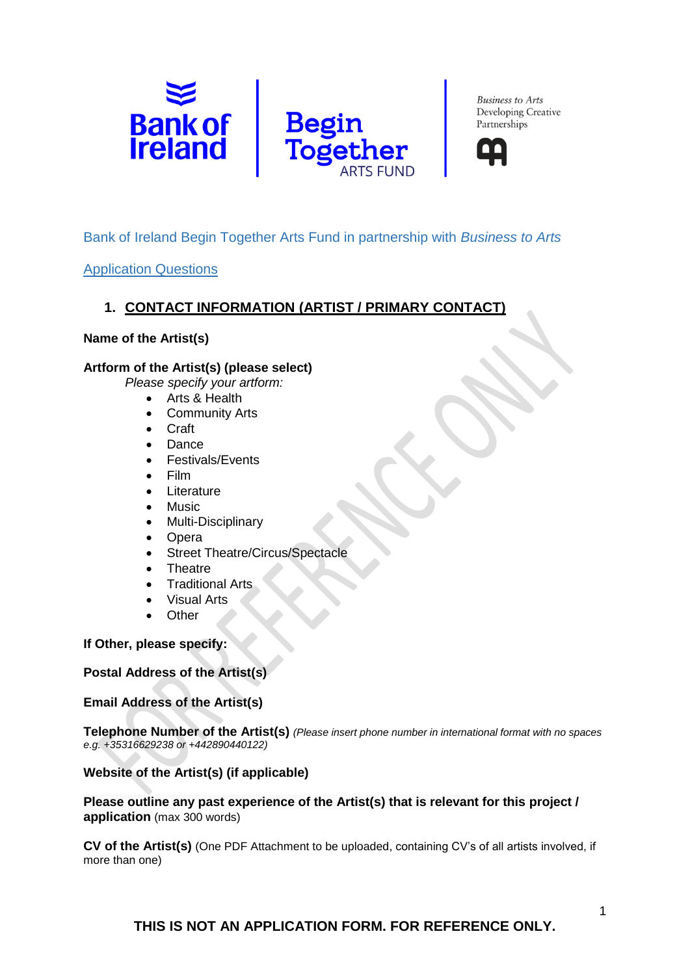



# Bank of Ireland Begin Together Arts Fund in partnership with *Business to Arts*

#### Application Questions

## **1. CONTACT INFORMATION (ARTIST / PRIMARY CONTACT)**

#### **Name of the Artist(s)**

#### **Artform of the Artist(s) (please select)**

*Please specify your artform:*

- Arts & Health
	- **Community Arts**
- Craft
- Dance
- Festivals/Events
- Film
- Literature
- **Music**
- Multi-Disciplinary
- Opera
- Street Theatre/Circus/Spectacle
- **Theatre**
- **Traditional Arts**
- Visual Arts
- **Other**

#### **If Other, please specify:**

#### **Postal Address of the Artist(s)**

#### **Email Address of the Artist(s)**

**Telephone Number of the Artist(s)** *(Please insert phone number in international format with no spaces e.g. +35316629238 or +442890440122)*

#### **Website of the Artist(s) (if applicable)**

#### **Please outline any past experience of the Artist(s) that is relevant for this project / application** (max 300 words)

**CV of the Artist(s)** (One PDF Attachment to be uploaded, containing CV's of all artists involved, if more than one)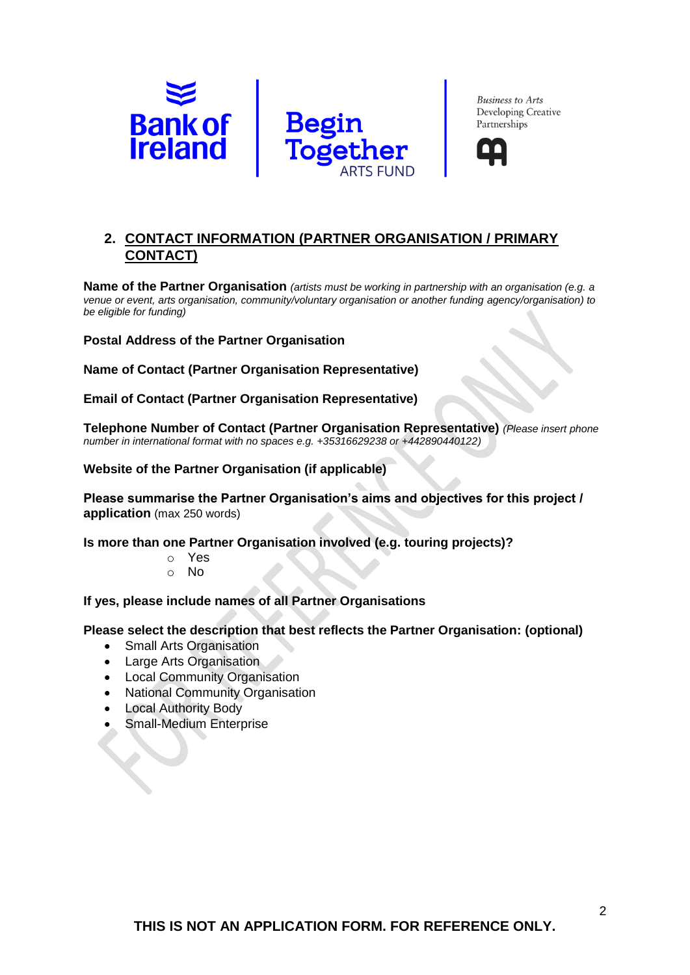



# **2. CONTACT INFORMATION (PARTNER ORGANISATION / PRIMARY CONTACT)**

**Name of the Partner Organisation** *(artists must be working in partnership with an organisation (e.g. a venue or event, arts organisation, community/voluntary organisation or another funding agency/organisation) to be eligible for funding)*

**Postal Address of the Partner Organisation**

**Name of Contact (Partner Organisation Representative)**

**Email of Contact (Partner Organisation Representative)**

**Telephone Number of Contact (Partner Organisation Representative)** *(Please insert phone number in international format with no spaces e.g. +35316629238 or +442890440122)*

**Website of the Partner Organisation (if applicable)**

**Please summarise the Partner Organisation's aims and objectives for this project / application** (max 250 words)

**Is more than one Partner Organisation involved (e.g. touring projects)?**

- o Yes
- o No

**If yes, please include names of all Partner Organisations**

**Please select the description that best reflects the Partner Organisation: (optional)**

- Small Arts Organisation
- Large Arts Organisation
- Local Community Organisation
- National Community Organisation
- Local Authority Body
- Small-Medium Enterprise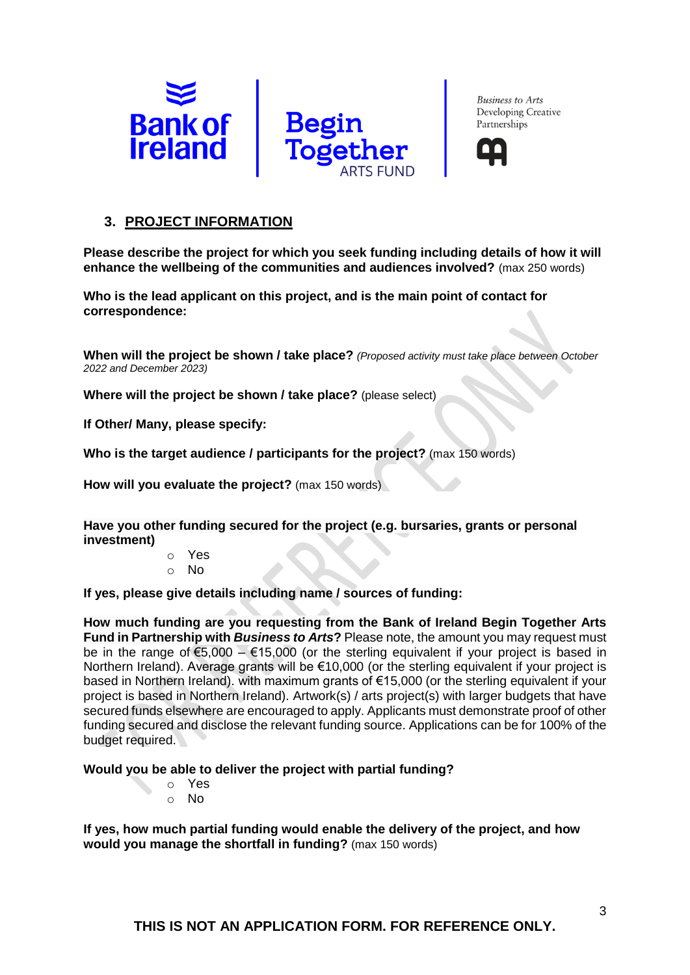



### **3. PROJECT INFORMATION**

**Please describe the project for which you seek funding including details of how it will enhance the wellbeing of the communities and audiences involved?** (max 250 words)

**Who is the lead applicant on this project, and is the main point of contact for correspondence:**

**When will the project be shown / take place?** *(Proposed activity must take place between October 2022 and December 2023)*

**Where will the project be shown / take place?** (please select)

**If Other/ Many, please specify:**

**Who is the target audience / participants for the project?** (max 150 words)

**How will you evaluate the project?** (max 150 words)

**Have you other funding secured for the project (e.g. bursaries, grants or personal investment)**

- o Yes
- o No

**If yes, please give details including name / sources of funding:**

**How much funding are you requesting from the Bank of Ireland Begin Together Arts Fund in Partnership with** *Business to Arts***?** Please note, the amount you may request must be in the range of  $\epsilon$ 5,000 –  $\epsilon$ 15,000 (or the sterling equivalent if your project is based in Northern Ireland). Average grants will be €10,000 (or the sterling equivalent if your project is based in Northern Ireland). with maximum grants of €15,000 (or the sterling equivalent if your project is based in Northern Ireland). Artwork(s) / arts project(s) with larger budgets that have secured funds elsewhere are encouraged to apply. Applicants must demonstrate proof of other funding secured and disclose the relevant funding source. Applications can be for 100% of the budget required.

**Would you be able to deliver the project with partial funding?**

- o Yes
- o No

**If yes, how much partial funding would enable the delivery of the project, and how would you manage the shortfall in funding?** (max 150 words)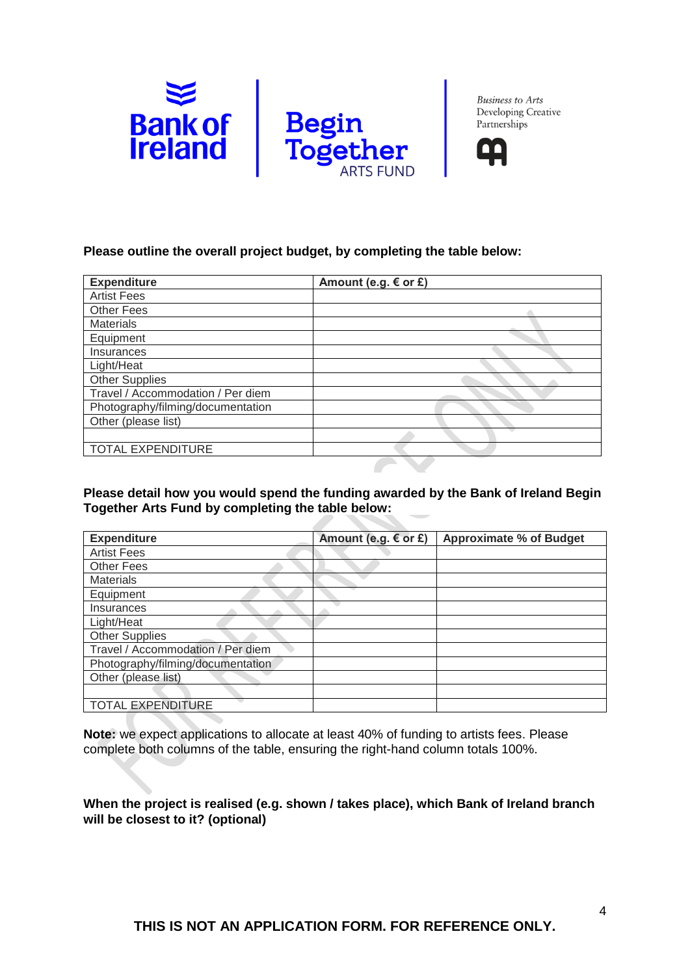



### **Please outline the overall project budget, by completing the table below:**

| Amount (e.g. $\epsilon$ or £) |
|-------------------------------|
|                               |
|                               |
|                               |
|                               |
|                               |
|                               |
|                               |
|                               |
|                               |
|                               |
|                               |
|                               |
|                               |

#### **Please detail how you would spend the funding awarded by the Bank of Ireland Begin Together Arts Fund by completing the table below:**

| <b>Expenditure</b>                | Amount (e.g. € or £) | <b>Approximate % of Budget</b> |
|-----------------------------------|----------------------|--------------------------------|
| <b>Artist Fees</b>                |                      |                                |
| <b>Other Fees</b>                 |                      |                                |
| <b>Materials</b>                  |                      |                                |
| Equipment                         |                      |                                |
| Insurances                        |                      |                                |
| Light/Heat                        |                      |                                |
| <b>Other Supplies</b>             |                      |                                |
| Travel / Accommodation / Per diem |                      |                                |
| Photography/filming/documentation |                      |                                |
| Other (please list)               |                      |                                |
|                                   |                      |                                |
| <b>TOTAL EXPENDITURE</b>          |                      |                                |

**Note:** we expect applications to allocate at least 40% of funding to artists fees. Please complete both columns of the table, ensuring the right-hand column totals 100%.

**When the project is realised (e.g. shown / takes place), which Bank of Ireland branch will be closest to it? (optional)**